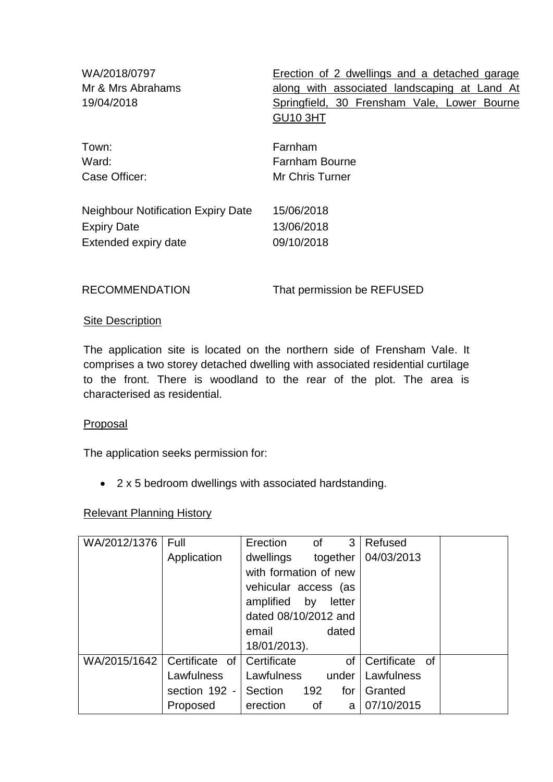| WA/2018/0797<br>Mr & Mrs Abrahams<br>19/04/2018 | Erection of 2 dwellings and a detached garage<br>along with associated landscaping at Land At<br>Springfield, 30 Frensham Vale, Lower Bourne<br><b>GU10 3HT</b> |
|-------------------------------------------------|-----------------------------------------------------------------------------------------------------------------------------------------------------------------|
| Town:                                           | Farnham                                                                                                                                                         |
| Ward:                                           | <b>Farnham Bourne</b>                                                                                                                                           |
| Case Officer:                                   | Mr Chris Turner                                                                                                                                                 |
| <b>Neighbour Notification Expiry Date</b>       | 15/06/2018                                                                                                                                                      |
| <b>Expiry Date</b>                              | 13/06/2018                                                                                                                                                      |
| Extended expiry date                            | 09/10/2018                                                                                                                                                      |
| <b>RECOMMENDATION</b>                           | That permission be REFUSED                                                                                                                                      |

#### Site Description

The application site is located on the northern side of Frensham Vale. It comprises a two storey detached dwelling with associated residential curtilage to the front. There is woodland to the rear of the plot. The area is characterised as residential.

### Proposal

The application seeks permission for:

2 x 5 bedroom dwellings with associated hardstanding.

### Relevant Planning History

| WA/2012/1376 | Full           | Erection<br>3<br>Refused<br>of           |
|--------------|----------------|------------------------------------------|
|              | Application    | 04/03/2013<br>together<br>dwellings      |
|              |                | with formation of new                    |
|              |                | vehicular access (as                     |
|              |                | amplified by<br>letter                   |
|              |                | dated 08/10/2012 and                     |
|              |                | dated<br>email                           |
|              |                | 18/01/2013).                             |
| WA/2015/1642 | Certificate of | Certificate<br>Certificate of<br>of      |
|              | Lawfulness     | Lawfulness<br>Lawfulness<br>under        |
|              | section 192 -  | 192<br>Section<br>for<br>Granted         |
|              | Proposed       | 07/10/2015<br>erection<br><b>of</b><br>a |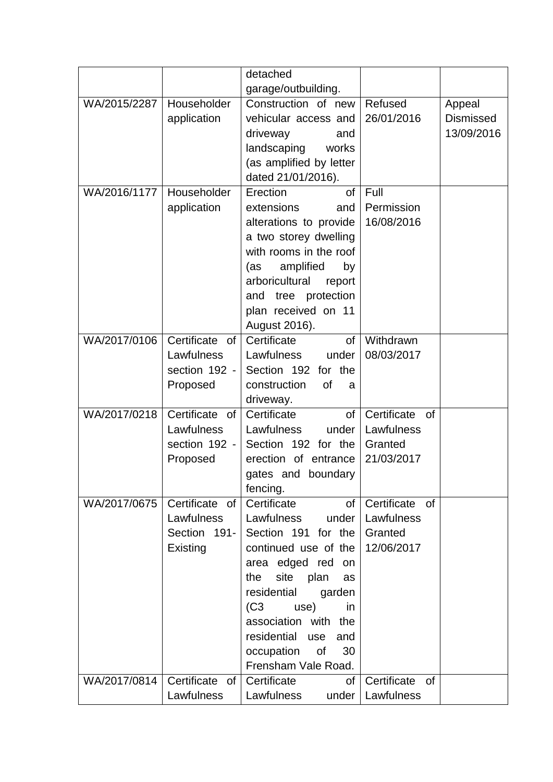|              |                   | detached                       |                          |                  |
|--------------|-------------------|--------------------------------|--------------------------|------------------|
|              |                   | garage/outbuilding.            |                          |                  |
| WA/2015/2287 | Householder       | Construction of new            | Refused                  | Appeal           |
|              | application       | vehicular access and           | 26/01/2016               | <b>Dismissed</b> |
|              |                   | driveway<br>and                |                          | 13/09/2016       |
|              |                   | landscaping<br>works           |                          |                  |
|              |                   | (as amplified by letter        |                          |                  |
|              |                   | dated 21/01/2016).             |                          |                  |
| WA/2016/1177 | Householder       | Erection<br>of                 | Full                     |                  |
|              | application       | extensions<br>and              | Permission               |                  |
|              |                   | alterations to provide         | 16/08/2016               |                  |
|              |                   | a two storey dwelling          |                          |                  |
|              |                   | with rooms in the roof         |                          |                  |
|              |                   | amplified<br>(as<br>by         |                          |                  |
|              |                   | arboricultural<br>report       |                          |                  |
|              |                   | and tree protection            |                          |                  |
|              |                   | plan received on 11            |                          |                  |
|              |                   | August 2016).                  |                          |                  |
| WA/2017/0106 | Certificate of    | Certificate<br>of              | Withdrawn                |                  |
|              | Lawfulness        | Lawfulness<br>under            | 08/03/2017               |                  |
|              | section 192 -     | Section 192 for the            |                          |                  |
|              | Proposed          | construction<br><b>of</b><br>a |                          |                  |
|              |                   | driveway.                      |                          |                  |
| WA/2017/0218 | Certificate of    | Certificate<br>of              | Certificate<br><b>of</b> |                  |
|              | Lawfulness        | Lawfulness<br>under            | Lawfulness               |                  |
|              | section 192 -     | Section 192 for the            | Granted                  |                  |
|              | Proposed          | erection of entrance           | 21/03/2017               |                  |
|              |                   | gates and boundary             |                          |                  |
|              |                   | fencing.                       |                          |                  |
| WA/2017/0675 | Certificate of    | Certificate<br>of              | Certificate of           |                  |
|              | Lawfulness        | Lawfulness<br>under            | Lawfulness               |                  |
|              | Section 191-      | Section 191 for the            | Granted                  |                  |
|              | Existing          | continued use of the           | 12/06/2017               |                  |
|              |                   | area edged red<br>on           |                          |                  |
|              |                   | site<br>plan<br>the<br>as      |                          |                  |
|              |                   | residential<br>garden          |                          |                  |
|              |                   | (C3)<br>use)<br>in             |                          |                  |
|              |                   | association with the           |                          |                  |
|              |                   | residential<br>use<br>and      |                          |                  |
|              |                   | occupation<br>0f<br>30         |                          |                  |
|              |                   | Frensham Vale Road.            |                          |                  |
| WA/2017/0814 | Certificate<br>of | Certificate<br>of              | Certificate<br><b>of</b> |                  |
|              | Lawfulness        | Lawfulness<br>under            | Lawfulness               |                  |
|              |                   |                                |                          |                  |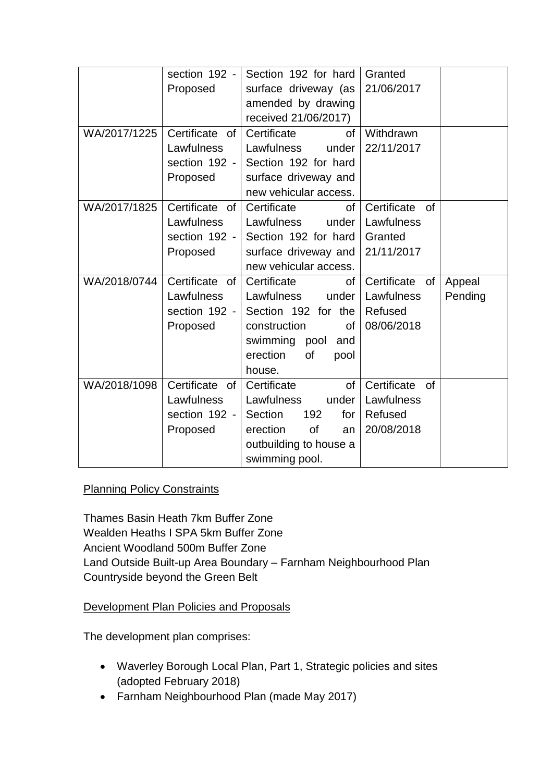|              | section 192 -     | Section 192 for hard     | Granted                     |
|--------------|-------------------|--------------------------|-----------------------------|
|              | Proposed          | surface driveway (as     | 21/06/2017                  |
|              |                   | amended by drawing       |                             |
|              |                   | received 21/06/2017)     |                             |
| WA/2017/1225 | Certificate of    | Certificate<br><b>of</b> | Withdrawn                   |
|              | Lawfulness        | Lawfulness<br>under      | 22/11/2017                  |
|              | section $192 -$   | Section 192 for hard     |                             |
|              | Proposed          | surface driveway and     |                             |
|              |                   | new vehicular access.    |                             |
| WA/2017/1825 | Certificate<br>of | Certificate<br>0f        | Certificate<br><b>of</b>    |
|              | Lawfulness        | Lawfulness<br>under      | Lawfulness                  |
|              | section 192 -     | Section 192 for hard     | Granted                     |
|              | Proposed          | surface driveway and     | 21/11/2017                  |
|              |                   | new vehicular access.    |                             |
| WA/2018/0744 | Certificate<br>of | Certificate<br>of        | Certificate<br>of<br>Appeal |
|              | Lawfulness        | Lawfulness<br>under      | Lawfulness<br>Pending       |
|              | section 192 -     | Section 192 for the      | Refused                     |
|              | Proposed          | construction<br>0f       | 08/06/2018                  |
|              |                   | swimming pool and        |                             |
|              |                   | erection<br>of<br>pool   |                             |
|              |                   | house.                   |                             |
| WA/2018/1098 | Certificate of    | Certificate<br><b>of</b> | Certificate<br><b>of</b>    |
|              | Lawfulness        | Lawfulness<br>under      | Lawfulness                  |
|              | section 192 -     | Section<br>192<br>for    | Refused                     |
|              | Proposed          | erection<br>of<br>an     | 20/08/2018                  |
|              |                   | outbuilding to house a   |                             |
|              |                   | swimming pool.           |                             |

# **Planning Policy Constraints**

Thames Basin Heath 7km Buffer Zone Wealden Heaths I SPA 5km Buffer Zone Ancient Woodland 500m Buffer Zone Land Outside Built-up Area Boundary – Farnham Neighbourhood Plan Countryside beyond the Green Belt

# Development Plan Policies and Proposals

The development plan comprises:

- Waverley Borough Local Plan, Part 1, Strategic policies and sites (adopted February 2018)
- Farnham Neighbourhood Plan (made May 2017)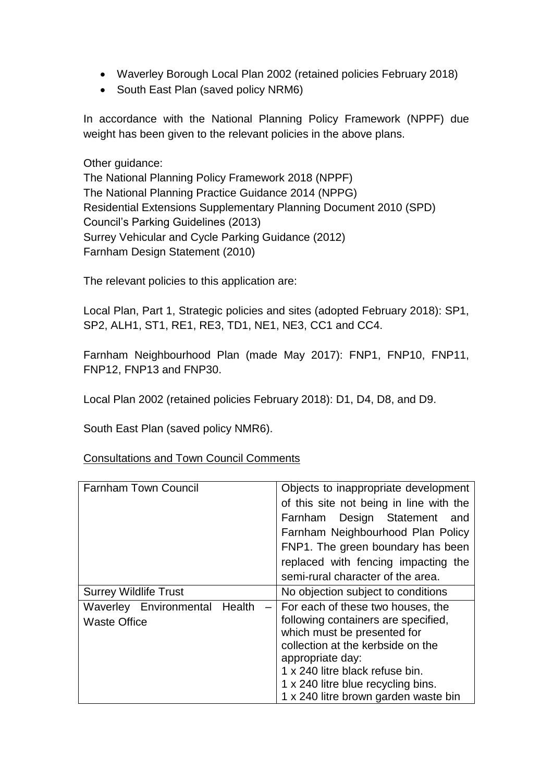- Waverley Borough Local Plan 2002 (retained policies February 2018)
- South East Plan (saved policy NRM6)

In accordance with the National Planning Policy Framework (NPPF) due weight has been given to the relevant policies in the above plans.

Other guidance:

The National Planning Policy Framework 2018 (NPPF) The National Planning Practice Guidance 2014 (NPPG) Residential Extensions Supplementary Planning Document 2010 (SPD) Council's Parking Guidelines (2013) Surrey Vehicular and Cycle Parking Guidance (2012) Farnham Design Statement (2010)

The relevant policies to this application are:

Local Plan, Part 1, Strategic policies and sites (adopted February 2018): SP1, SP2, ALH1, ST1, RE1, RE3, TD1, NE1, NE3, CC1 and CC4.

Farnham Neighbourhood Plan (made May 2017): FNP1, FNP10, FNP11, FNP12, FNP13 and FNP30.

Local Plan 2002 (retained policies February 2018): D1, D4, D8, and D9.

South East Plan (saved policy NMR6).

Consultations and Town Council Comments

| <b>Farnham Town Council</b>                          |                          | Objects to inappropriate development<br>of this site not being in line with the<br>Farnham Design Statement<br>and<br>Farnham Neighbourhood Plan Policy<br>FNP1. The green boundary has been<br>replaced with fencing impacting the<br>semi-rural character of the area.          |
|------------------------------------------------------|--------------------------|-----------------------------------------------------------------------------------------------------------------------------------------------------------------------------------------------------------------------------------------------------------------------------------|
| <b>Surrey Wildlife Trust</b>                         |                          | No objection subject to conditions                                                                                                                                                                                                                                                |
| Waverley Environmental Health<br><b>Waste Office</b> | $\overline{\phantom{0}}$ | For each of these two houses, the<br>following containers are specified,<br>which must be presented for<br>collection at the kerbside on the<br>appropriate day:<br>1 x 240 litre black refuse bin.<br>1 x 240 litre blue recycling bins.<br>1 x 240 litre brown garden waste bin |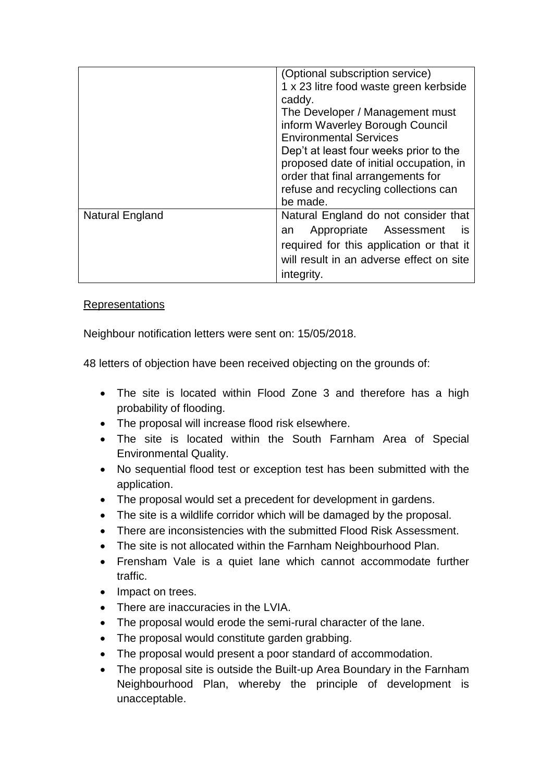|                 | (Optional subscription service)<br>1 x 23 litre food waste green kerbside<br>caddy.<br>The Developer / Management must<br>inform Waverley Borough Council<br><b>Environmental Services</b><br>Dep't at least four weeks prior to the<br>proposed date of initial occupation, in<br>order that final arrangements for<br>refuse and recycling collections can<br>be made. |  |
|-----------------|--------------------------------------------------------------------------------------------------------------------------------------------------------------------------------------------------------------------------------------------------------------------------------------------------------------------------------------------------------------------------|--|
| Natural England | Natural England do not consider that<br>Appropriate Assessment<br><b>IS</b><br>an<br>required for this application or that it<br>will result in an adverse effect on site<br>integrity.                                                                                                                                                                                  |  |

## Representations

Neighbour notification letters were sent on: 15/05/2018.

48 letters of objection have been received objecting on the grounds of:

- The site is located within Flood Zone 3 and therefore has a high probability of flooding.
- The proposal will increase flood risk elsewhere.
- The site is located within the South Farnham Area of Special Environmental Quality.
- No sequential flood test or exception test has been submitted with the application.
- The proposal would set a precedent for development in gardens.
- The site is a wildlife corridor which will be damaged by the proposal.
- There are inconsistencies with the submitted Flood Risk Assessment.
- The site is not allocated within the Farnham Neighbourhood Plan.
- Frensham Vale is a quiet lane which cannot accommodate further traffic.
- Impact on trees.
- There are inaccuracies in the LVIA.
- The proposal would erode the semi-rural character of the lane.
- The proposal would constitute garden grabbing.
- The proposal would present a poor standard of accommodation.
- The proposal site is outside the Built-up Area Boundary in the Farnham Neighbourhood Plan, whereby the principle of development is unacceptable.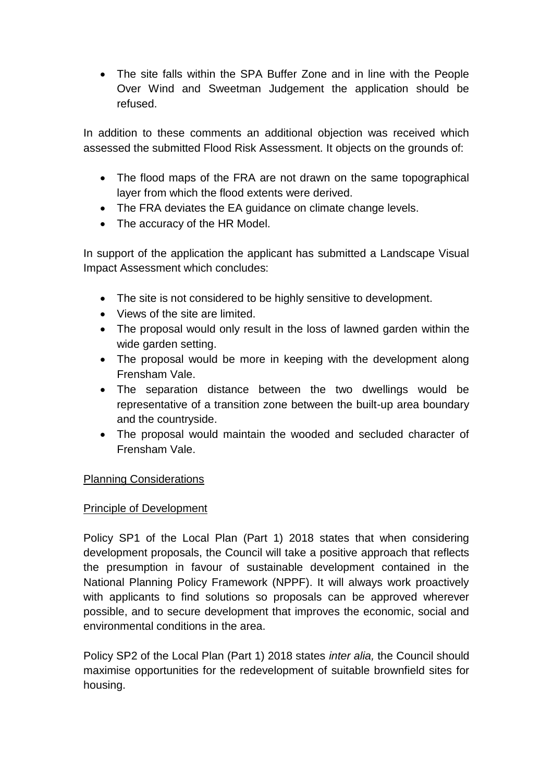The site falls within the SPA Buffer Zone and in line with the People Over Wind and Sweetman Judgement the application should be refused.

In addition to these comments an additional objection was received which assessed the submitted Flood Risk Assessment. It objects on the grounds of:

- The flood maps of the FRA are not drawn on the same topographical layer from which the flood extents were derived.
- The FRA deviates the EA guidance on climate change levels.
- The accuracy of the HR Model.

In support of the application the applicant has submitted a Landscape Visual Impact Assessment which concludes:

- The site is not considered to be highly sensitive to development.
- Views of the site are limited.
- The proposal would only result in the loss of lawned garden within the wide garden setting.
- The proposal would be more in keeping with the development along Frensham Vale.
- The separation distance between the two dwellings would be representative of a transition zone between the built-up area boundary and the countryside.
- The proposal would maintain the wooded and secluded character of Frensham Vale.

# Planning Considerations

### Principle of Development

Policy SP1 of the Local Plan (Part 1) 2018 states that when considering development proposals, the Council will take a positive approach that reflects the presumption in favour of sustainable development contained in the National Planning Policy Framework (NPPF). It will always work proactively with applicants to find solutions so proposals can be approved wherever possible, and to secure development that improves the economic, social and environmental conditions in the area.

Policy SP2 of the Local Plan (Part 1) 2018 states *inter alia,* the Council should maximise opportunities for the redevelopment of suitable brownfield sites for housing.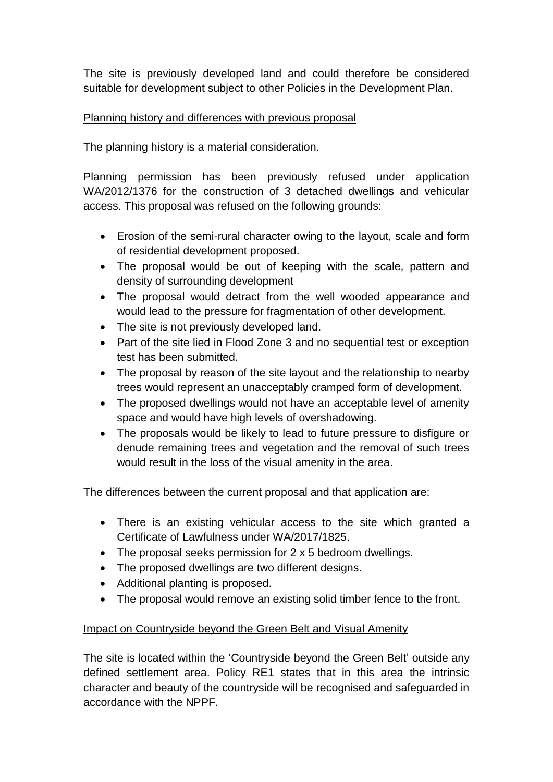The site is previously developed land and could therefore be considered suitable for development subject to other Policies in the Development Plan.

## Planning history and differences with previous proposal

The planning history is a material consideration.

Planning permission has been previously refused under application WA/2012/1376 for the construction of 3 detached dwellings and vehicular access. This proposal was refused on the following grounds:

- Erosion of the semi-rural character owing to the layout, scale and form of residential development proposed.
- The proposal would be out of keeping with the scale, pattern and density of surrounding development
- The proposal would detract from the well wooded appearance and would lead to the pressure for fragmentation of other development.
- The site is not previously developed land.
- Part of the site lied in Flood Zone 3 and no sequential test or exception test has been submitted.
- The proposal by reason of the site layout and the relationship to nearby trees would represent an unacceptably cramped form of development.
- The proposed dwellings would not have an acceptable level of amenity space and would have high levels of overshadowing.
- The proposals would be likely to lead to future pressure to disfigure or denude remaining trees and vegetation and the removal of such trees would result in the loss of the visual amenity in the area.

The differences between the current proposal and that application are:

- There is an existing vehicular access to the site which granted a Certificate of Lawfulness under WA/2017/1825.
- The proposal seeks permission for 2 x 5 bedroom dwellings.
- The proposed dwellings are two different designs.
- Additional planting is proposed.
- The proposal would remove an existing solid timber fence to the front.

# Impact on Countryside beyond the Green Belt and Visual Amenity

The site is located within the 'Countryside beyond the Green Belt' outside any defined settlement area. Policy RE1 states that in this area the intrinsic character and beauty of the countryside will be recognised and safeguarded in accordance with the NPPF.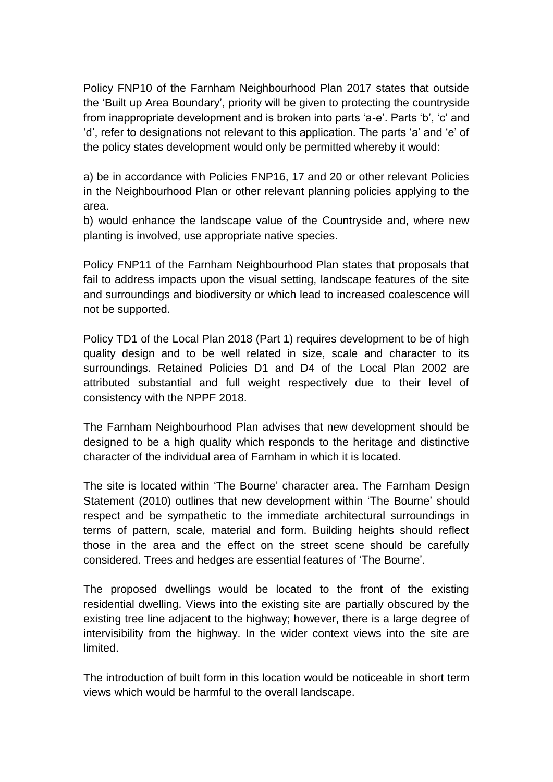Policy FNP10 of the Farnham Neighbourhood Plan 2017 states that outside the 'Built up Area Boundary', priority will be given to protecting the countryside from inappropriate development and is broken into parts 'a-e'. Parts 'b', 'c' and 'd', refer to designations not relevant to this application. The parts 'a' and 'e' of the policy states development would only be permitted whereby it would:

a) be in accordance with Policies FNP16, 17 and 20 or other relevant Policies in the Neighbourhood Plan or other relevant planning policies applying to the area.

b) would enhance the landscape value of the Countryside and, where new planting is involved, use appropriate native species.

Policy FNP11 of the Farnham Neighbourhood Plan states that proposals that fail to address impacts upon the visual setting, landscape features of the site and surroundings and biodiversity or which lead to increased coalescence will not be supported.

Policy TD1 of the Local Plan 2018 (Part 1) requires development to be of high quality design and to be well related in size, scale and character to its surroundings. Retained Policies D1 and D4 of the Local Plan 2002 are attributed substantial and full weight respectively due to their level of consistency with the NPPF 2018.

The Farnham Neighbourhood Plan advises that new development should be designed to be a high quality which responds to the heritage and distinctive character of the individual area of Farnham in which it is located.

The site is located within 'The Bourne' character area. The Farnham Design Statement (2010) outlines that new development within 'The Bourne' should respect and be sympathetic to the immediate architectural surroundings in terms of pattern, scale, material and form. Building heights should reflect those in the area and the effect on the street scene should be carefully considered. Trees and hedges are essential features of 'The Bourne'.

The proposed dwellings would be located to the front of the existing residential dwelling. Views into the existing site are partially obscured by the existing tree line adjacent to the highway; however, there is a large degree of intervisibility from the highway. In the wider context views into the site are limited.

The introduction of built form in this location would be noticeable in short term views which would be harmful to the overall landscape.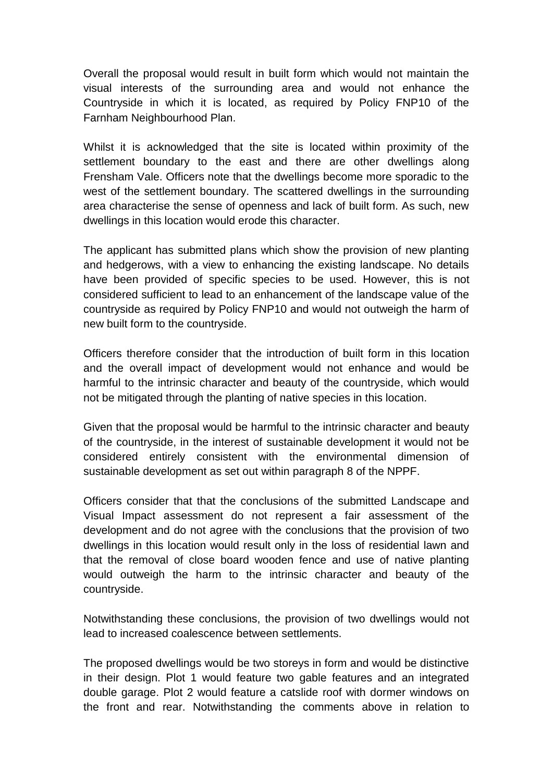Overall the proposal would result in built form which would not maintain the visual interests of the surrounding area and would not enhance the Countryside in which it is located, as required by Policy FNP10 of the Farnham Neighbourhood Plan.

Whilst it is acknowledged that the site is located within proximity of the settlement boundary to the east and there are other dwellings along Frensham Vale. Officers note that the dwellings become more sporadic to the west of the settlement boundary. The scattered dwellings in the surrounding area characterise the sense of openness and lack of built form. As such, new dwellings in this location would erode this character.

The applicant has submitted plans which show the provision of new planting and hedgerows, with a view to enhancing the existing landscape. No details have been provided of specific species to be used. However, this is not considered sufficient to lead to an enhancement of the landscape value of the countryside as required by Policy FNP10 and would not outweigh the harm of new built form to the countryside.

Officers therefore consider that the introduction of built form in this location and the overall impact of development would not enhance and would be harmful to the intrinsic character and beauty of the countryside, which would not be mitigated through the planting of native species in this location.

Given that the proposal would be harmful to the intrinsic character and beauty of the countryside, in the interest of sustainable development it would not be considered entirely consistent with the environmental dimension of sustainable development as set out within paragraph 8 of the NPPF.

Officers consider that that the conclusions of the submitted Landscape and Visual Impact assessment do not represent a fair assessment of the development and do not agree with the conclusions that the provision of two dwellings in this location would result only in the loss of residential lawn and that the removal of close board wooden fence and use of native planting would outweigh the harm to the intrinsic character and beauty of the countryside.

Notwithstanding these conclusions, the provision of two dwellings would not lead to increased coalescence between settlements.

The proposed dwellings would be two storeys in form and would be distinctive in their design. Plot 1 would feature two gable features and an integrated double garage. Plot 2 would feature a catslide roof with dormer windows on the front and rear. Notwithstanding the comments above in relation to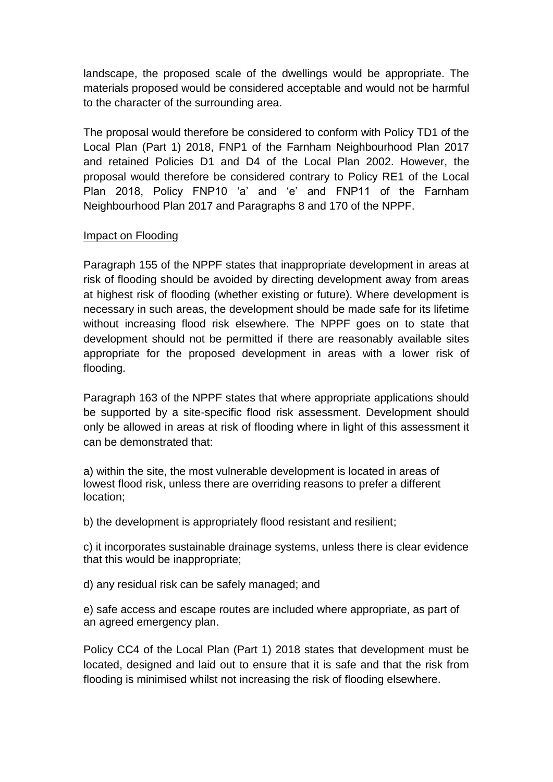landscape, the proposed scale of the dwellings would be appropriate. The materials proposed would be considered acceptable and would not be harmful to the character of the surrounding area.

The proposal would therefore be considered to conform with Policy TD1 of the Local Plan (Part 1) 2018, FNP1 of the Farnham Neighbourhood Plan 2017 and retained Policies D1 and D4 of the Local Plan 2002. However, the proposal would therefore be considered contrary to Policy RE1 of the Local Plan 2018, Policy FNP10 'a' and 'e' and FNP11 of the Farnham Neighbourhood Plan 2017 and Paragraphs 8 and 170 of the NPPF.

## Impact on Flooding

Paragraph 155 of the NPPF states that inappropriate development in areas at risk of flooding should be avoided by directing development away from areas at highest risk of flooding (whether existing or future). Where development is necessary in such areas, the development should be made safe for its lifetime without increasing flood risk elsewhere. The NPPF goes on to state that development should not be permitted if there are reasonably available sites appropriate for the proposed development in areas with a lower risk of flooding.

Paragraph 163 of the NPPF states that where appropriate applications should be supported by a site-specific flood risk assessment. Development should only be allowed in areas at risk of flooding where in light of this assessment it can be demonstrated that:

a) within the site, the most vulnerable development is located in areas of lowest flood risk, unless there are overriding reasons to prefer a different location;

b) the development is appropriately flood resistant and resilient;

c) it incorporates sustainable drainage systems, unless there is clear evidence that this would be inappropriate;

d) any residual risk can be safely managed; and

e) safe access and escape routes are included where appropriate, as part of an agreed emergency plan.

Policy CC4 of the Local Plan (Part 1) 2018 states that development must be located, designed and laid out to ensure that it is safe and that the risk from flooding is minimised whilst not increasing the risk of flooding elsewhere.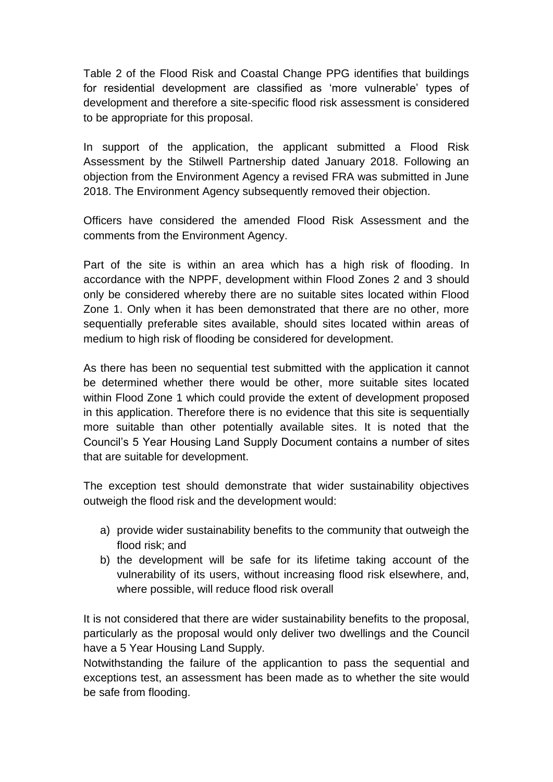Table 2 of the Flood Risk and Coastal Change PPG identifies that buildings for residential development are classified as 'more vulnerable' types of development and therefore a site-specific flood risk assessment is considered to be appropriate for this proposal.

In support of the application, the applicant submitted a Flood Risk Assessment by the Stilwell Partnership dated January 2018. Following an objection from the Environment Agency a revised FRA was submitted in June 2018. The Environment Agency subsequently removed their objection.

Officers have considered the amended Flood Risk Assessment and the comments from the Environment Agency.

Part of the site is within an area which has a high risk of flooding. In accordance with the NPPF, development within Flood Zones 2 and 3 should only be considered whereby there are no suitable sites located within Flood Zone 1. Only when it has been demonstrated that there are no other, more sequentially preferable sites available, should sites located within areas of medium to high risk of flooding be considered for development.

As there has been no sequential test submitted with the application it cannot be determined whether there would be other, more suitable sites located within Flood Zone 1 which could provide the extent of development proposed in this application. Therefore there is no evidence that this site is sequentially more suitable than other potentially available sites. It is noted that the Council's 5 Year Housing Land Supply Document contains a number of sites that are suitable for development.

The exception test should demonstrate that wider sustainability objectives outweigh the flood risk and the development would:

- a) provide wider sustainability benefits to the community that outweigh the flood risk; and
- b) the development will be safe for its lifetime taking account of the vulnerability of its users, without increasing flood risk elsewhere, and, where possible, will reduce flood risk overall

It is not considered that there are wider sustainability benefits to the proposal, particularly as the proposal would only deliver two dwellings and the Council have a 5 Year Housing Land Supply.

Notwithstanding the failure of the applicantion to pass the sequential and exceptions test, an assessment has been made as to whether the site would be safe from flooding.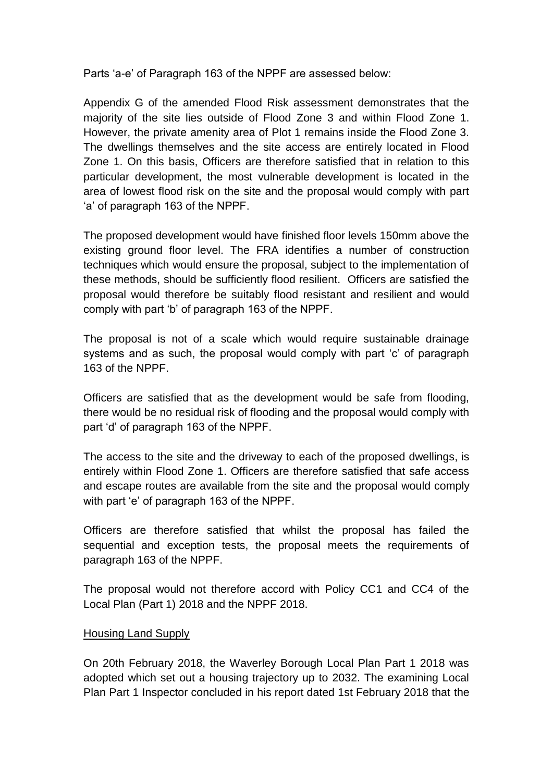Parts 'a-e' of Paragraph 163 of the NPPF are assessed below:

Appendix G of the amended Flood Risk assessment demonstrates that the majority of the site lies outside of Flood Zone 3 and within Flood Zone 1. However, the private amenity area of Plot 1 remains inside the Flood Zone 3. The dwellings themselves and the site access are entirely located in Flood Zone 1. On this basis, Officers are therefore satisfied that in relation to this particular development, the most vulnerable development is located in the area of lowest flood risk on the site and the proposal would comply with part 'a' of paragraph 163 of the NPPF.

The proposed development would have finished floor levels 150mm above the existing ground floor level. The FRA identifies a number of construction techniques which would ensure the proposal, subject to the implementation of these methods, should be sufficiently flood resilient. Officers are satisfied the proposal would therefore be suitably flood resistant and resilient and would comply with part 'b' of paragraph 163 of the NPPF.

The proposal is not of a scale which would require sustainable drainage systems and as such, the proposal would comply with part 'c' of paragraph 163 of the NPPF.

Officers are satisfied that as the development would be safe from flooding, there would be no residual risk of flooding and the proposal would comply with part 'd' of paragraph 163 of the NPPF.

The access to the site and the driveway to each of the proposed dwellings, is entirely within Flood Zone 1. Officers are therefore satisfied that safe access and escape routes are available from the site and the proposal would comply with part 'e' of paragraph 163 of the NPPF.

Officers are therefore satisfied that whilst the proposal has failed the sequential and exception tests, the proposal meets the requirements of paragraph 163 of the NPPF.

The proposal would not therefore accord with Policy CC1 and CC4 of the Local Plan (Part 1) 2018 and the NPPF 2018.

### Housing Land Supply

On 20th February 2018, the Waverley Borough Local Plan Part 1 2018 was adopted which set out a housing trajectory up to 2032. The examining Local Plan Part 1 Inspector concluded in his report dated 1st February 2018 that the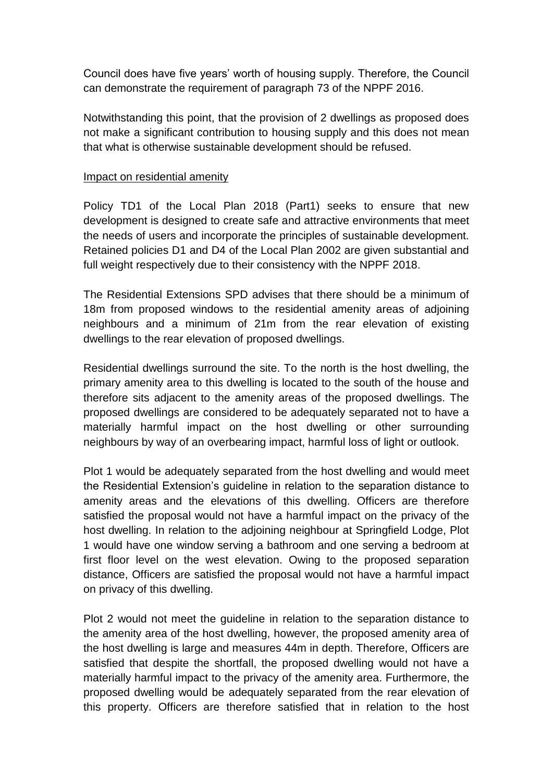Council does have five years' worth of housing supply. Therefore, the Council can demonstrate the requirement of paragraph 73 of the NPPF 2016.

Notwithstanding this point, that the provision of 2 dwellings as proposed does not make a significant contribution to housing supply and this does not mean that what is otherwise sustainable development should be refused.

### Impact on residential amenity

Policy TD1 of the Local Plan 2018 (Part1) seeks to ensure that new development is designed to create safe and attractive environments that meet the needs of users and incorporate the principles of sustainable development. Retained policies D1 and D4 of the Local Plan 2002 are given substantial and full weight respectively due to their consistency with the NPPF 2018.

The Residential Extensions SPD advises that there should be a minimum of 18m from proposed windows to the residential amenity areas of adjoining neighbours and a minimum of 21m from the rear elevation of existing dwellings to the rear elevation of proposed dwellings.

Residential dwellings surround the site. To the north is the host dwelling, the primary amenity area to this dwelling is located to the south of the house and therefore sits adjacent to the amenity areas of the proposed dwellings. The proposed dwellings are considered to be adequately separated not to have a materially harmful impact on the host dwelling or other surrounding neighbours by way of an overbearing impact, harmful loss of light or outlook.

Plot 1 would be adequately separated from the host dwelling and would meet the Residential Extension's guideline in relation to the separation distance to amenity areas and the elevations of this dwelling. Officers are therefore satisfied the proposal would not have a harmful impact on the privacy of the host dwelling. In relation to the adjoining neighbour at Springfield Lodge, Plot 1 would have one window serving a bathroom and one serving a bedroom at first floor level on the west elevation. Owing to the proposed separation distance, Officers are satisfied the proposal would not have a harmful impact on privacy of this dwelling.

Plot 2 would not meet the guideline in relation to the separation distance to the amenity area of the host dwelling, however, the proposed amenity area of the host dwelling is large and measures 44m in depth. Therefore, Officers are satisfied that despite the shortfall, the proposed dwelling would not have a materially harmful impact to the privacy of the amenity area. Furthermore, the proposed dwelling would be adequately separated from the rear elevation of this property. Officers are therefore satisfied that in relation to the host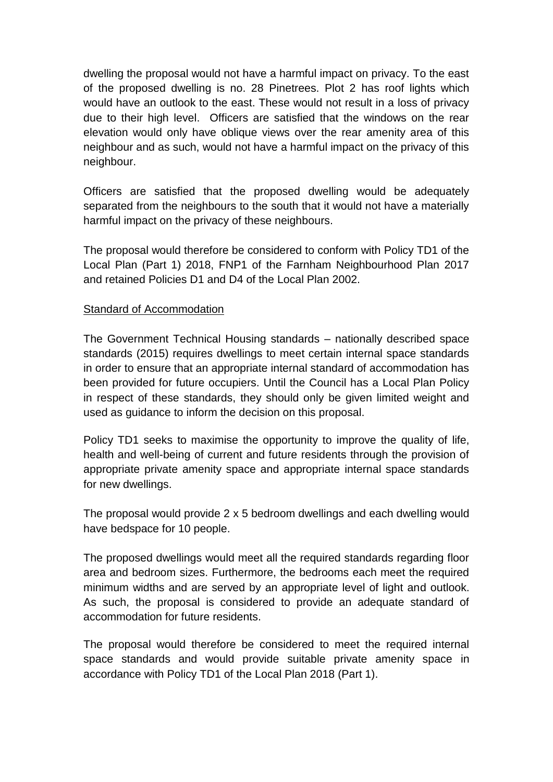dwelling the proposal would not have a harmful impact on privacy. To the east of the proposed dwelling is no. 28 Pinetrees. Plot 2 has roof lights which would have an outlook to the east. These would not result in a loss of privacy due to their high level. Officers are satisfied that the windows on the rear elevation would only have oblique views over the rear amenity area of this neighbour and as such, would not have a harmful impact on the privacy of this neighbour.

Officers are satisfied that the proposed dwelling would be adequately separated from the neighbours to the south that it would not have a materially harmful impact on the privacy of these neighbours.

The proposal would therefore be considered to conform with Policy TD1 of the Local Plan (Part 1) 2018, FNP1 of the Farnham Neighbourhood Plan 2017 and retained Policies D1 and D4 of the Local Plan 2002.

## Standard of Accommodation

The Government Technical Housing standards – nationally described space standards (2015) requires dwellings to meet certain internal space standards in order to ensure that an appropriate internal standard of accommodation has been provided for future occupiers. Until the Council has a Local Plan Policy in respect of these standards, they should only be given limited weight and used as guidance to inform the decision on this proposal.

Policy TD1 seeks to maximise the opportunity to improve the quality of life, health and well-being of current and future residents through the provision of appropriate private amenity space and appropriate internal space standards for new dwellings.

The proposal would provide 2 x 5 bedroom dwellings and each dwelling would have bedspace for 10 people.

The proposed dwellings would meet all the required standards regarding floor area and bedroom sizes. Furthermore, the bedrooms each meet the required minimum widths and are served by an appropriate level of light and outlook. As such, the proposal is considered to provide an adequate standard of accommodation for future residents.

The proposal would therefore be considered to meet the required internal space standards and would provide suitable private amenity space in accordance with Policy TD1 of the Local Plan 2018 (Part 1).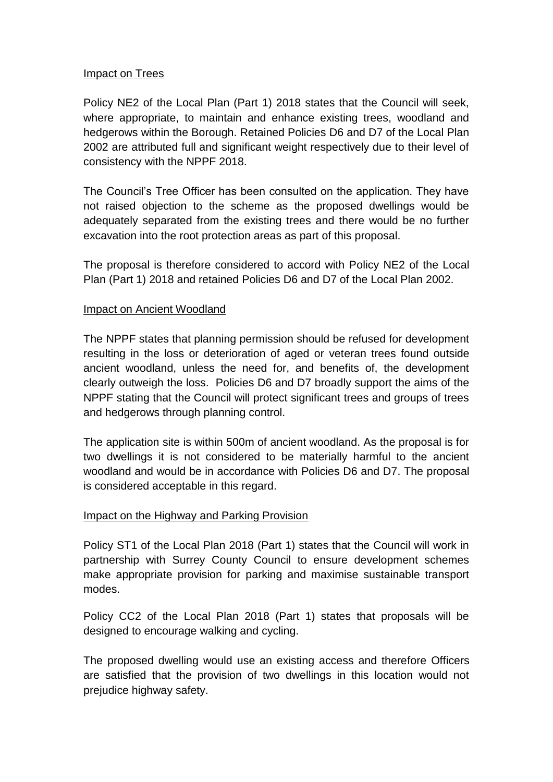## Impact on Trees

Policy NE2 of the Local Plan (Part 1) 2018 states that the Council will seek, where appropriate, to maintain and enhance existing trees, woodland and hedgerows within the Borough. Retained Policies D6 and D7 of the Local Plan 2002 are attributed full and significant weight respectively due to their level of consistency with the NPPF 2018.

The Council's Tree Officer has been consulted on the application. They have not raised objection to the scheme as the proposed dwellings would be adequately separated from the existing trees and there would be no further excavation into the root protection areas as part of this proposal.

The proposal is therefore considered to accord with Policy NE2 of the Local Plan (Part 1) 2018 and retained Policies D6 and D7 of the Local Plan 2002.

## Impact on Ancient Woodland

The NPPF states that planning permission should be refused for development resulting in the loss or deterioration of aged or veteran trees found outside ancient woodland, unless the need for, and benefits of, the development clearly outweigh the loss. Policies D6 and D7 broadly support the aims of the NPPF stating that the Council will protect significant trees and groups of trees and hedgerows through planning control.

The application site is within 500m of ancient woodland. As the proposal is for two dwellings it is not considered to be materially harmful to the ancient woodland and would be in accordance with Policies D6 and D7. The proposal is considered acceptable in this regard.

### Impact on the Highway and Parking Provision

Policy ST1 of the Local Plan 2018 (Part 1) states that the Council will work in partnership with Surrey County Council to ensure development schemes make appropriate provision for parking and maximise sustainable transport modes.

Policy CC2 of the Local Plan 2018 (Part 1) states that proposals will be designed to encourage walking and cycling.

The proposed dwelling would use an existing access and therefore Officers are satisfied that the provision of two dwellings in this location would not prejudice highway safety.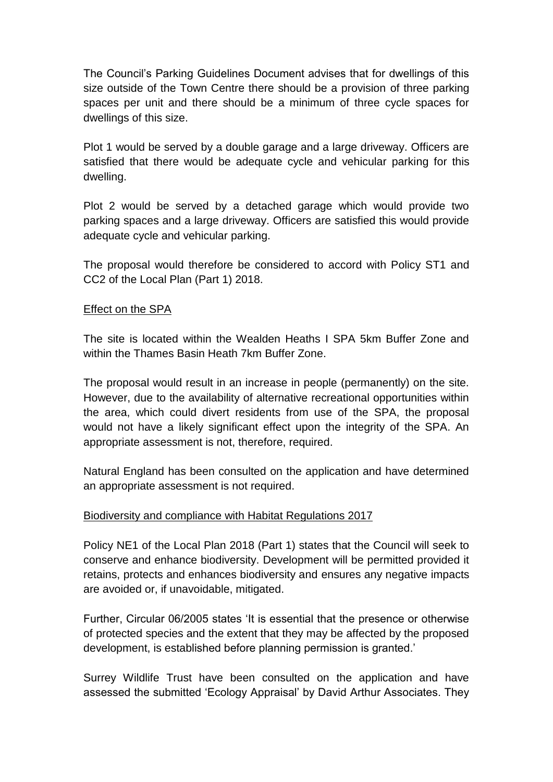The Council's Parking Guidelines Document advises that for dwellings of this size outside of the Town Centre there should be a provision of three parking spaces per unit and there should be a minimum of three cycle spaces for dwellings of this size.

Plot 1 would be served by a double garage and a large driveway. Officers are satisfied that there would be adequate cycle and vehicular parking for this dwelling.

Plot 2 would be served by a detached garage which would provide two parking spaces and a large driveway. Officers are satisfied this would provide adequate cycle and vehicular parking.

The proposal would therefore be considered to accord with Policy ST1 and CC2 of the Local Plan (Part 1) 2018.

## Effect on the SPA

The site is located within the Wealden Heaths I SPA 5km Buffer Zone and within the Thames Basin Heath 7km Buffer Zone.

The proposal would result in an increase in people (permanently) on the site. However, due to the availability of alternative recreational opportunities within the area, which could divert residents from use of the SPA, the proposal would not have a likely significant effect upon the integrity of the SPA. An appropriate assessment is not, therefore, required.

Natural England has been consulted on the application and have determined an appropriate assessment is not required.

### Biodiversity and compliance with Habitat Regulations 2017

Policy NE1 of the Local Plan 2018 (Part 1) states that the Council will seek to conserve and enhance biodiversity. Development will be permitted provided it retains, protects and enhances biodiversity and ensures any negative impacts are avoided or, if unavoidable, mitigated.

Further, Circular 06/2005 states 'It is essential that the presence or otherwise of protected species and the extent that they may be affected by the proposed development, is established before planning permission is granted.'

Surrey Wildlife Trust have been consulted on the application and have assessed the submitted 'Ecology Appraisal' by David Arthur Associates. They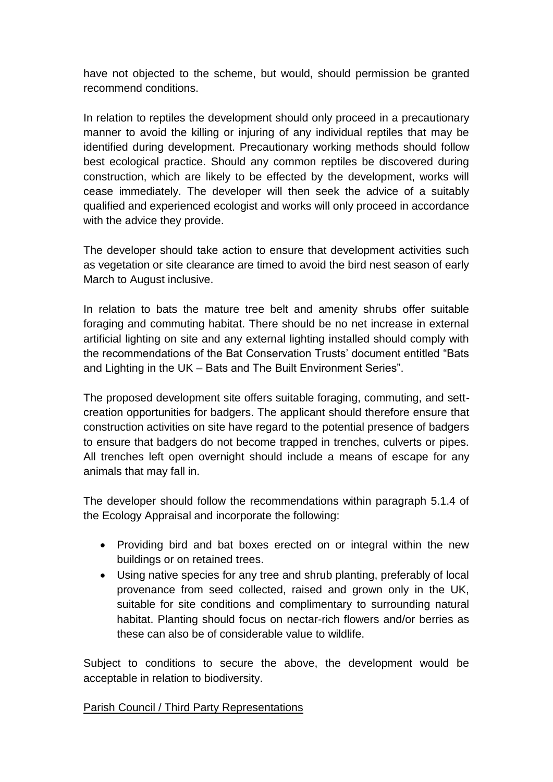have not objected to the scheme, but would, should permission be granted recommend conditions.

In relation to reptiles the development should only proceed in a precautionary manner to avoid the killing or injuring of any individual reptiles that may be identified during development. Precautionary working methods should follow best ecological practice. Should any common reptiles be discovered during construction, which are likely to be effected by the development, works will cease immediately. The developer will then seek the advice of a suitably qualified and experienced ecologist and works will only proceed in accordance with the advice they provide.

The developer should take action to ensure that development activities such as vegetation or site clearance are timed to avoid the bird nest season of early March to August inclusive.

In relation to bats the mature tree belt and amenity shrubs offer suitable foraging and commuting habitat. There should be no net increase in external artificial lighting on site and any external lighting installed should comply with the recommendations of the Bat Conservation Trusts' document entitled "Bats and Lighting in the UK – Bats and The Built Environment Series".

The proposed development site offers suitable foraging, commuting, and settcreation opportunities for badgers. The applicant should therefore ensure that construction activities on site have regard to the potential presence of badgers to ensure that badgers do not become trapped in trenches, culverts or pipes. All trenches left open overnight should include a means of escape for any animals that may fall in.

The developer should follow the recommendations within paragraph 5.1.4 of the Ecology Appraisal and incorporate the following:

- Providing bird and bat boxes erected on or integral within the new buildings or on retained trees.
- Using native species for any tree and shrub planting, preferably of local provenance from seed collected, raised and grown only in the UK, suitable for site conditions and complimentary to surrounding natural habitat. Planting should focus on nectar-rich flowers and/or berries as these can also be of considerable value to wildlife.

Subject to conditions to secure the above, the development would be acceptable in relation to biodiversity.

### Parish Council / Third Party Representations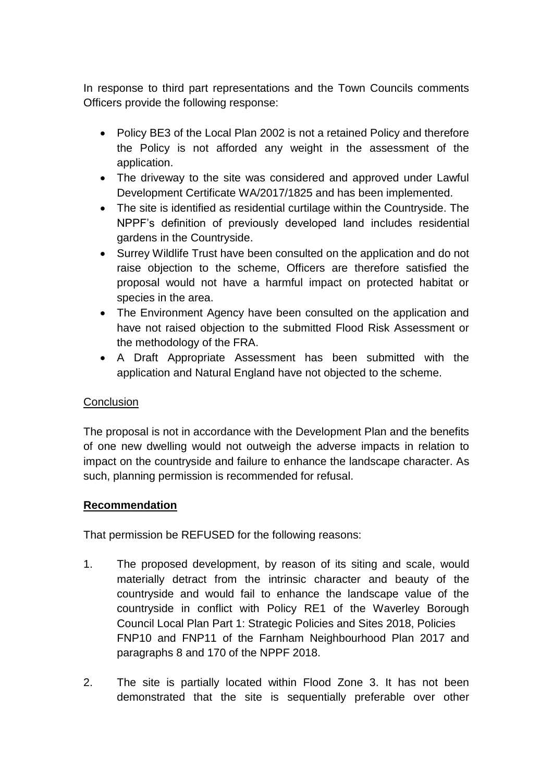In response to third part representations and the Town Councils comments Officers provide the following response:

- Policy BE3 of the Local Plan 2002 is not a retained Policy and therefore the Policy is not afforded any weight in the assessment of the application.
- The driveway to the site was considered and approved under Lawful Development Certificate WA/2017/1825 and has been implemented.
- The site is identified as residential curtilage within the Countryside. The NPPF's definition of previously developed land includes residential gardens in the Countryside.
- Surrey Wildlife Trust have been consulted on the application and do not raise objection to the scheme, Officers are therefore satisfied the proposal would not have a harmful impact on protected habitat or species in the area.
- The Environment Agency have been consulted on the application and have not raised objection to the submitted Flood Risk Assessment or the methodology of the FRA.
- A Draft Appropriate Assessment has been submitted with the application and Natural England have not objected to the scheme.

# **Conclusion**

The proposal is not in accordance with the Development Plan and the benefits of one new dwelling would not outweigh the adverse impacts in relation to impact on the countryside and failure to enhance the landscape character. As such, planning permission is recommended for refusal.

# **Recommendation**

That permission be REFUSED for the following reasons:

- 1. The proposed development, by reason of its siting and scale, would materially detract from the intrinsic character and beauty of the countryside and would fail to enhance the landscape value of the countryside in conflict with Policy RE1 of the Waverley Borough Council Local Plan Part 1: Strategic Policies and Sites 2018, Policies FNP10 and FNP11 of the Farnham Neighbourhood Plan 2017 and paragraphs 8 and 170 of the NPPF 2018.
- 2. The site is partially located within Flood Zone 3. It has not been demonstrated that the site is sequentially preferable over other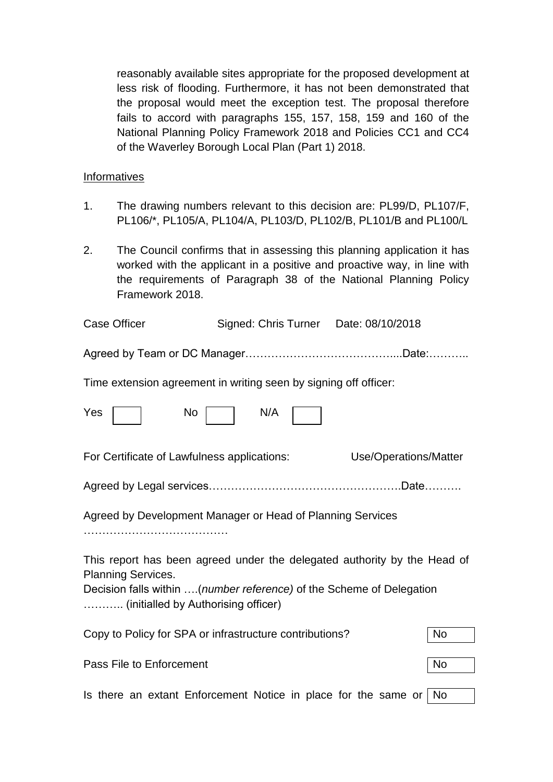reasonably available sites appropriate for the proposed development at less risk of flooding. Furthermore, it has not been demonstrated that the proposal would meet the exception test. The proposal therefore fails to accord with paragraphs 155, 157, 158, 159 and 160 of the National Planning Policy Framework 2018 and Policies CC1 and CC4 of the Waverley Borough Local Plan (Part 1) 2018.

### **Informatives**

- 1. The drawing numbers relevant to this decision are: PL99/D, PL107/F, PL106/\*, PL105/A, PL104/A, PL103/D, PL102/B, PL101/B and PL100/L
- 2. The Council confirms that in assessing this planning application it has worked with the applicant in a positive and proactive way, in line with the requirements of Paragraph 38 of the National Planning Policy Framework 2018.

| <b>Case Officer</b>                                                                                                                                                                                                  | Signed: Chris Turner Date: 08/10/2018 |                       |           |  |
|----------------------------------------------------------------------------------------------------------------------------------------------------------------------------------------------------------------------|---------------------------------------|-----------------------|-----------|--|
|                                                                                                                                                                                                                      |                                       |                       |           |  |
| Time extension agreement in writing seen by signing off officer:                                                                                                                                                     |                                       |                       |           |  |
| Yes<br>No                                                                                                                                                                                                            | N/A                                   |                       |           |  |
| For Certificate of Lawfulness applications:                                                                                                                                                                          |                                       | Use/Operations/Matter |           |  |
|                                                                                                                                                                                                                      |                                       |                       |           |  |
| Agreed by Development Manager or Head of Planning Services                                                                                                                                                           |                                       |                       |           |  |
| This report has been agreed under the delegated authority by the Head of<br><b>Planning Services.</b><br>Decision falls within (number reference) of the Scheme of Delegation<br>(initialled by Authorising officer) |                                       |                       |           |  |
| Copy to Policy for SPA or infrastructure contributions?                                                                                                                                                              |                                       |                       | <b>No</b> |  |
| Pass File to Enforcement                                                                                                                                                                                             |                                       |                       | <b>No</b> |  |
| Is there an extant Enforcement Notice in place for the same or<br>  No                                                                                                                                               |                                       |                       |           |  |